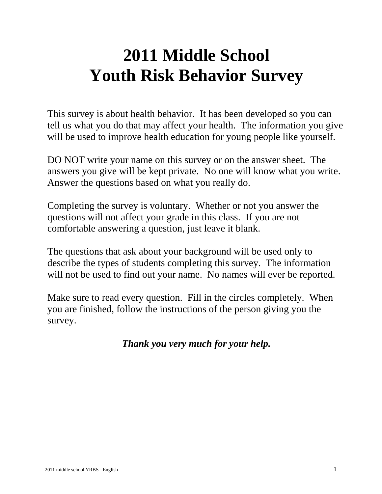# **2011 Middle School Youth Risk Behavior Survey**

This survey is about health behavior. It has been developed so you can tell us what you do that may affect your health. The information you give will be used to improve health education for young people like yourself.

DO NOT write your name on this survey or on the answer sheet. The answers you give will be kept private. No one will know what you write. Answer the questions based on what you really do.

Completing the survey is voluntary. Whether or not you answer the questions will not affect your grade in this class. If you are not comfortable answering a question, just leave it blank.

The questions that ask about your background will be used only to describe the types of students completing this survey. The information will not be used to find out your name. No names will ever be reported.

Make sure to read every question. Fill in the circles completely. When you are finished, follow the instructions of the person giving you the survey.

# *Thank you very much for your help.*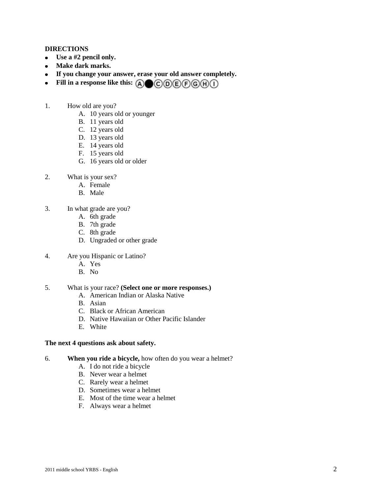#### **DIRECTIONS**

- **Use a #2 pencil only.**
- **Make dark marks.**
- **If you change your answer, erase your old answer completely.**
- Fill in a response like this:  $\textcircled{A} \bigoplus \textcircled{C} \textcircled{D} \textcircled{F} \textcircled{H} \textcircled{I}$  $\bullet$
- 1. How old are you?
	- A. 10 years old or younger
	- B. 11 years old
	- C. 12 years old
	- D. 13 years old
	- E. 14 years old
	- F. 15 years old
	- G. 16 years old or older
- 2. What is your sex?
	- A. Female
	- B. Male
- 3. In what grade are you?
	- A. 6th grade
	- B. 7th grade
	- C. 8th grade
	- D. Ungraded or other grade
- 4. Are you Hispanic or Latino?
	- A. Yes
	- B. No

# 5. What is your race? **(Select one or more responses.)**

- A. American Indian or Alaska Native
- B. Asian
- C. Black or African American
- D. Native Hawaiian or Other Pacific Islander
- E. White

# **The next 4 questions ask about safety.**

- 6. **When you ride a bicycle,** how often do you wear a helmet?
	- A. I do not ride a bicycle
	- B. Never wear a helmet
	- C. Rarely wear a helmet
	- D. Sometimes wear a helmet
	- E. Most of the time wear a helmet
	- F. Always wear a helmet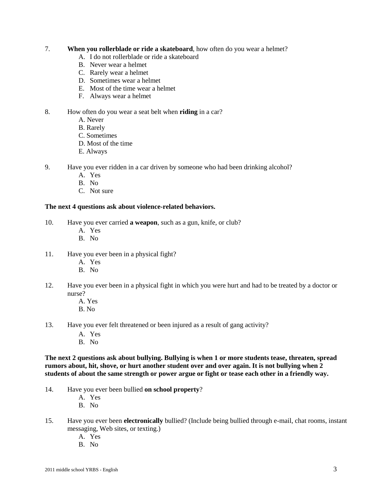# 7. **When you rollerblade or ride a skateboard**, how often do you wear a helmet?

- A. I do not rollerblade or ride a skateboard
- B. Never wear a helmet
- C. Rarely wear a helmet
- D. Sometimes wear a helmet
- E. Most of the time wear a helmet
- F. Always wear a helmet

# 8. How often do you wear a seat belt when **riding** in a car?

- A. Never
- B. Rarely
- C. Sometimes
- D. Most of the time
- E. Always
- 9. Have you ever ridden in a car driven by someone who had been drinking alcohol?
	- A. Yes
	- B. No
	- C. Not sure

# **The next 4 questions ask about violence-related behaviors.**

- 10. Have you ever carried **a weapon**, such as a gun, knife, or club?
	- A. Yes
	- B. No
- 11. Have you ever been in a physical fight?
	- A. Yes
	- B. No
- 12. Have you ever been in a physical fight in which you were hurt and had to be treated by a doctor or nurse?
	- A. Yes
	- B. No
- 13. Have you ever felt threatened or been injured as a result of gang activity?
	- A. Yes
	- B. No

**The next 2 questions ask about bullying. Bullying is when 1 or more students tease, threaten, spread rumors about, hit, shove, or hurt another student over and over again. It is not bullying when 2 students of about the same strength or power argue or fight or tease each other in a friendly way.** 

- 14. Have you ever been bullied **on school property**?
	- A. Yes
	- B. No
- 15. Have you ever been **electronically** bullied? (Include being bullied through e-mail, chat rooms, instant messaging, Web sites, or texting.)
	- A. Yes
	- B. No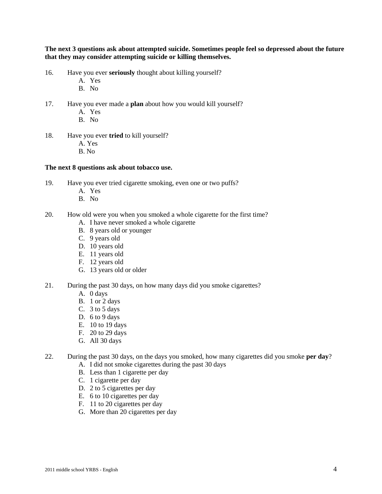**The next 3 questions ask about attempted suicide. Sometimes people feel so depressed about the future that they may consider attempting suicide or killing themselves.** 

- 16. Have you ever **seriously** thought about killing yourself?
	- A. Yes
	- B. No
- 17. Have you ever made a **plan** about how you would kill yourself?
	- A. Yes
	- B. No
- 18. Have you ever **tried** to kill yourself?
	- A. Yes
	- B. No

#### **The next 8 questions ask about tobacco use.**

- 19. Have you ever tried cigarette smoking, even one or two puffs?
	- A. Yes
	- B. No
- 20. How old were you when you smoked a whole cigarette for the first time?
	- A. I have never smoked a whole cigarette
	- B. 8 years old or younger
	- C. 9 years old
	- D. 10 years old
	- E. 11 years old
	- F. 12 years old
	- G. 13 years old or older
- 21. During the past 30 days, on how many days did you smoke cigarettes?
	- A. 0 days
	- B. 1 or 2 days
	- C. 3 to 5 days
	- D. 6 to 9 days
	- E. 10 to 19 days
	- F. 20 to 29 days
	- G. All 30 days
- 22. During the past 30 days, on the days you smoked, how many cigarettes did you smoke **per day**?
	- A. I did not smoke cigarettes during the past 30 days
	- B. Less than 1 cigarette per day
	- C. 1 cigarette per day
	- D. 2 to 5 cigarettes per day
	- E. 6 to 10 cigarettes per day
	- F. 11 to 20 cigarettes per day
	- G. More than 20 cigarettes per day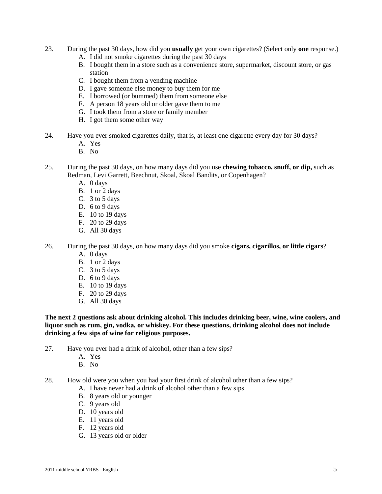- 23. During the past 30 days, how did you **usually** get your own cigarettes? (Select only **one** response.)
	- A. I did not smoke cigarettes during the past 30 days
	- B. I bought them in a store such as a convenience store, supermarket, discount store, or gas station
	- C. I bought them from a vending machine
	- D. I gave someone else money to buy them for me
	- E. I borrowed (or bummed) them from someone else
	- F. A person 18 years old or older gave them to me
	- G. I took them from a store or family member
	- H. I got them some other way
- 24. Have you ever smoked cigarettes daily, that is, at least one cigarette every day for 30 days?
	- A. Yes
	- B. No
- 25. During the past 30 days, on how many days did you use **chewing tobacco, snuff, or dip,** such as Redman, Levi Garrett, Beechnut, Skoal, Skoal Bandits, or Copenhagen?
	- A. 0 days
	- B. 1 or 2 days
	- C. 3 to 5 days
	- D. 6 to 9 days
	- E. 10 to 19 days
	- F. 20 to 29 days
	- G. All 30 days
- 26. During the past 30 days, on how many days did you smoke **cigars, cigarillos, or little cigars**?
	- A. 0 days
	- B. 1 or 2 days
	- C. 3 to 5 days
	- D. 6 to 9 days
	- E. 10 to 19 days
	- F. 20 to 29 days
	- G. All 30 days

**The next 2 questions ask about drinking alcohol. This includes drinking beer, wine, wine coolers, and liquor such as rum, gin, vodka, or whiskey. For these questions, drinking alcohol does not include drinking a few sips of wine for religious purposes.** 

- 27. Have you ever had a drink of alcohol, other than a few sips?
	- A. Yes
	- B. No
- 28. How old were you when you had your first drink of alcohol other than a few sips?
	- A. I have never had a drink of alcohol other than a few sips
	- B. 8 years old or younger
	- C. 9 years old
	- D. 10 years old
	- E. 11 years old
	- F. 12 years old
	- G. 13 years old or older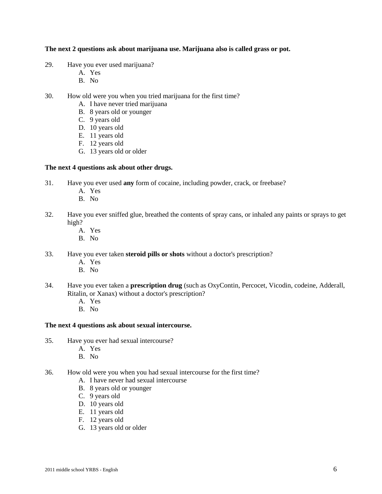## **The next 2 questions ask about marijuana use. Marijuana also is called grass or pot.**

- 29. Have you ever used marijuana?
	- A. Yes
	- B. No
- 30. How old were you when you tried marijuana for the first time?
	- A. I have never tried marijuana
	- B. 8 years old or younger
	- C. 9 years old
	- D. 10 years old
	- E. 11 years old
	- F. 12 years old
	- G. 13 years old or older

#### **The next 4 questions ask about other drugs.**

- 31. Have you ever used **any** form of cocaine, including powder, crack, or freebase?
	- A. Yes
	- B. No
- 32. Have you ever sniffed glue, breathed the contents of spray cans, or inhaled any paints or sprays to get high?
	- A. Yes
	- B. No
- 33. Have you ever taken **steroid pills or shots** without a doctor's prescription?
	- A. Yes
	- B. No
- 34. Have you ever taken a **prescription drug** (such as OxyContin, Percocet, Vicodin, codeine, Adderall, Ritalin, or Xanax) without a doctor's prescription?
	- A. Yes
	- B. No

#### **The next 4 questions ask about sexual intercourse.**

- 35. Have you ever had sexual intercourse?
	- A. Yes
	- B. No
- 36. How old were you when you had sexual intercourse for the first time?
	- A. I have never had sexual intercourse
	- B. 8 years old or younger
	- C. 9 years old
	- D. 10 years old
	- E. 11 years old
	- F. 12 years old
	- G. 13 years old or older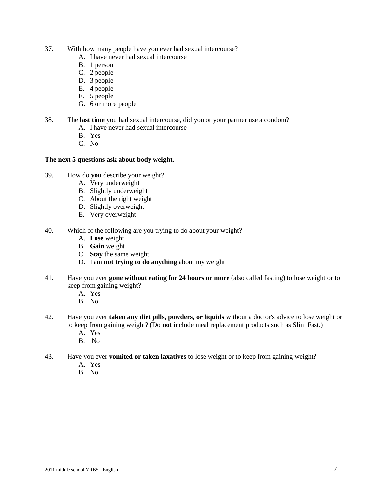- 37. With how many people have you ever had sexual intercourse?
	- A. I have never had sexual intercourse
	- B. 1 person
	- C. 2 people
	- D. 3 people
	- E. 4 people
	- F. 5 people
	- G. 6 or more people
- 38. The **last time** you had sexual intercourse, did you or your partner use a condom?
	- A. I have never had sexual intercourse
	- B. Yes
	- C. No

# **The next 5 questions ask about body weight.**

- 39. How do **you** describe your weight?
	- A. Very underweight
	- B. Slightly underweight
	- C. About the right weight
	- D. Slightly overweight
	- E. Very overweight
- 40. Which of the following are you trying to do about your weight?
	- A. **Lose** weight
	- B. **Gain** weight
	- C. **Stay** the same weight
	- D. I am **not trying to do anything** about my weight
- 41. Have you ever **gone without eating for 24 hours or more** (also called fasting) to lose weight or to keep from gaining weight?
	- A. Yes
	- B. No
- 42. Have you ever **taken any diet pills, powders, or liquids** without a doctor's advice to lose weight or to keep from gaining weight? (Do **not** include meal replacement products such as Slim Fast.)
	- A. Yes
	- B. No
- 43. Have you ever **vomited or taken laxatives** to lose weight or to keep from gaining weight?
	- A. Yes
	- B. No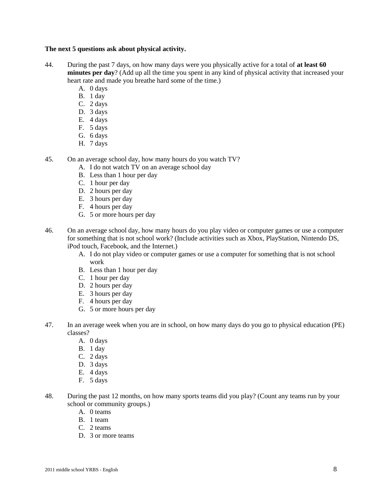# **The next 5 questions ask about physical activity.**

- 44. During the past 7 days, on how many days were you physically active for a total of **at least 60 minutes per day**? (Add up all the time you spent in any kind of physical activity that increased your heart rate and made you breathe hard some of the time.)
	- A. 0 days
	- B. 1 day
	- C. 2 days
	- D. 3 days
	- E. 4 days
	- F. 5 days
	- G. 6 days
	- H. 7 days
- 45. On an average school day, how many hours do you watch TV?
	- A. I do not watch TV on an average school day
	- B. Less than 1 hour per day
	- C. 1 hour per day
	- D. 2 hours per day
	- E. 3 hours per day
	- F. 4 hours per day
	- G. 5 or more hours per day
- 46. On an average school day, how many hours do you play video or computer games or use a computer for something that is not school work? (Include activities such as Xbox, PlayStation, Nintendo DS, iPod touch, Facebook, and the Internet.)
	- A. I do not play video or computer games or use a computer for something that is not school work
	- B. Less than 1 hour per day
	- C. 1 hour per day
	- D. 2 hours per day
	- E. 3 hours per day
	- F. 4 hours per day
	- G. 5 or more hours per day
- 47. In an average week when you are in school, on how many days do you go to physical education (PE) classes?
	- A. 0 days
	- B. 1 day
	- C. 2 days
	- D. 3 days
	- E. 4 days
	- F. 5 days
- 48. During the past 12 months, on how many sports teams did you play? (Count any teams run by your school or community groups.)
	- A. 0 teams
	- B. 1 team
	- C. 2 teams
	- D. 3 or more teams